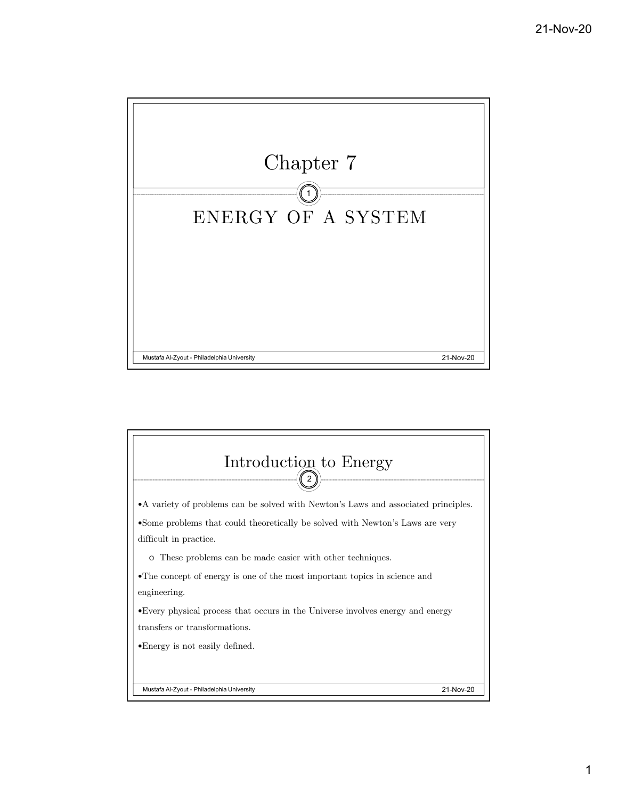

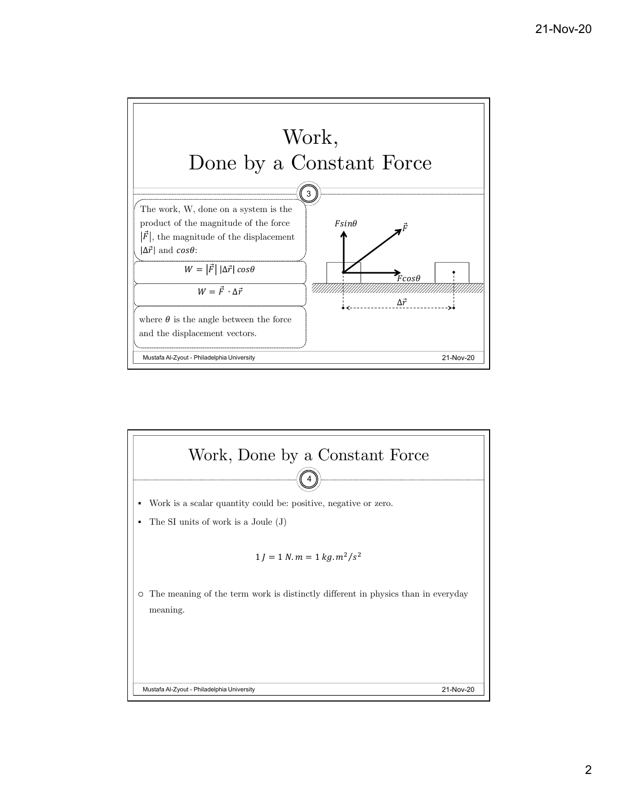

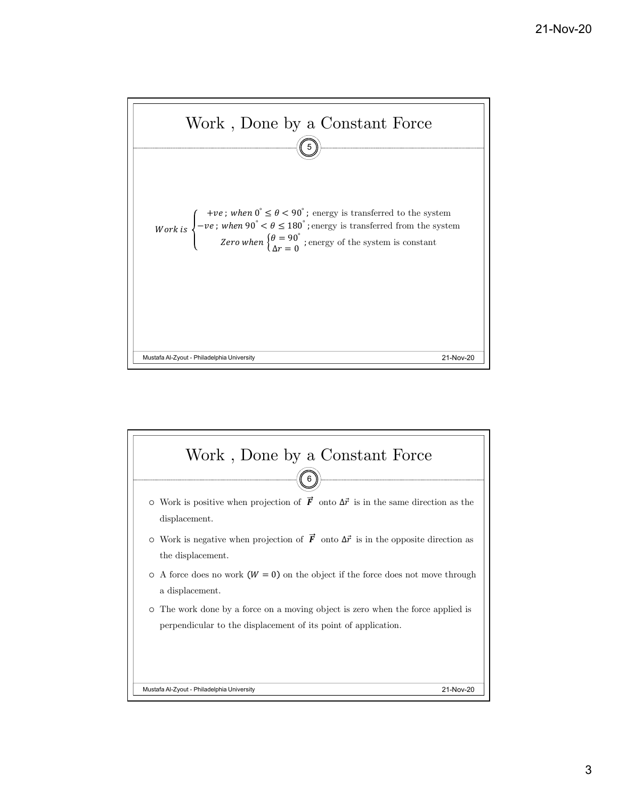

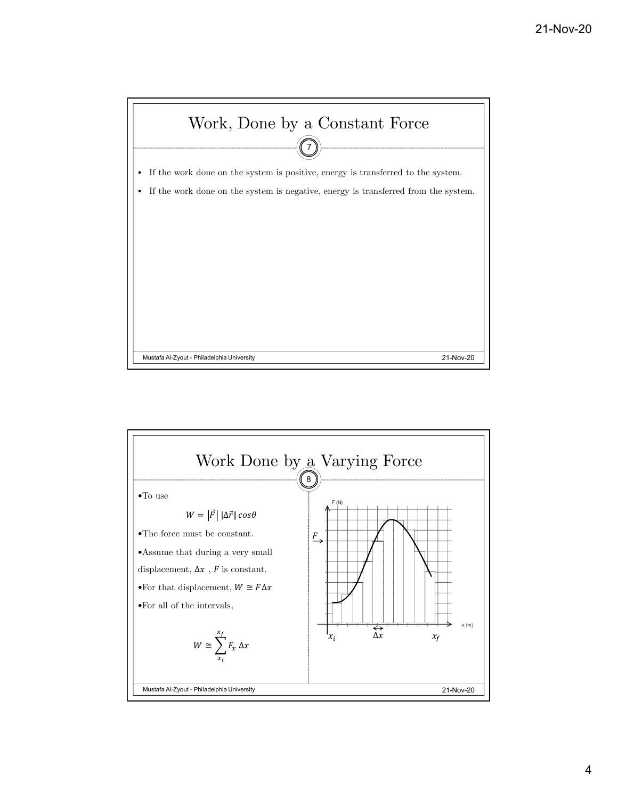

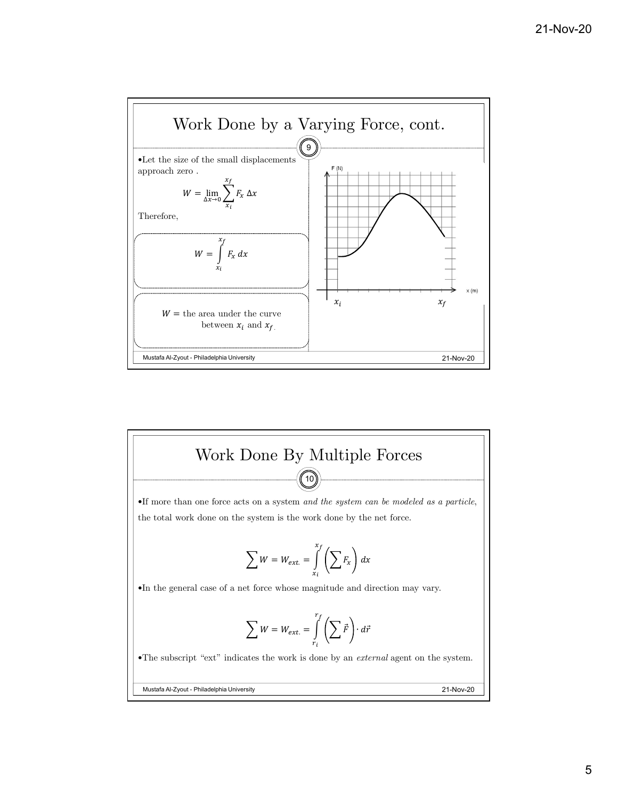

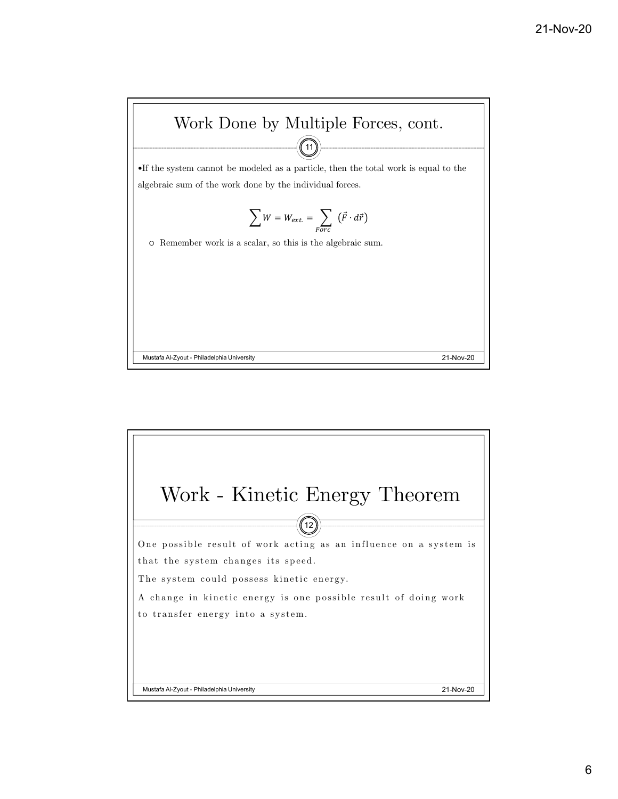

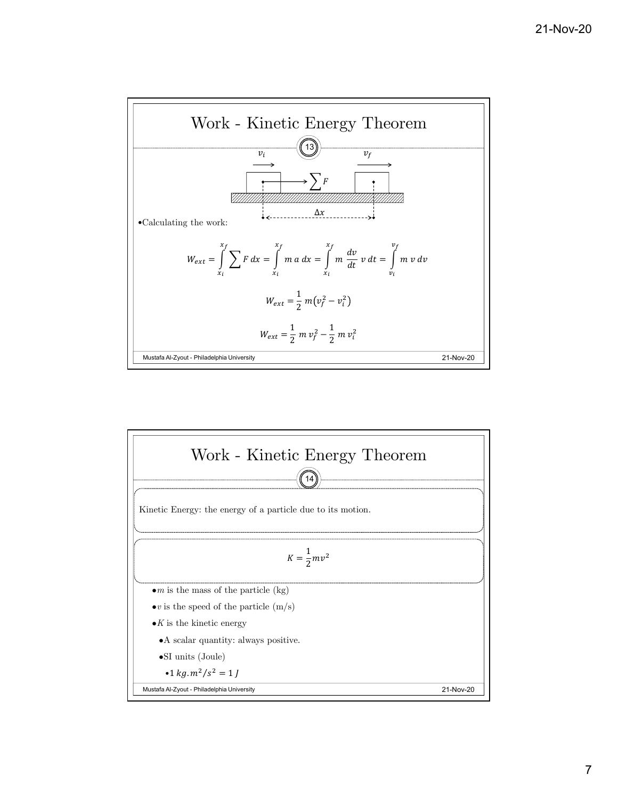

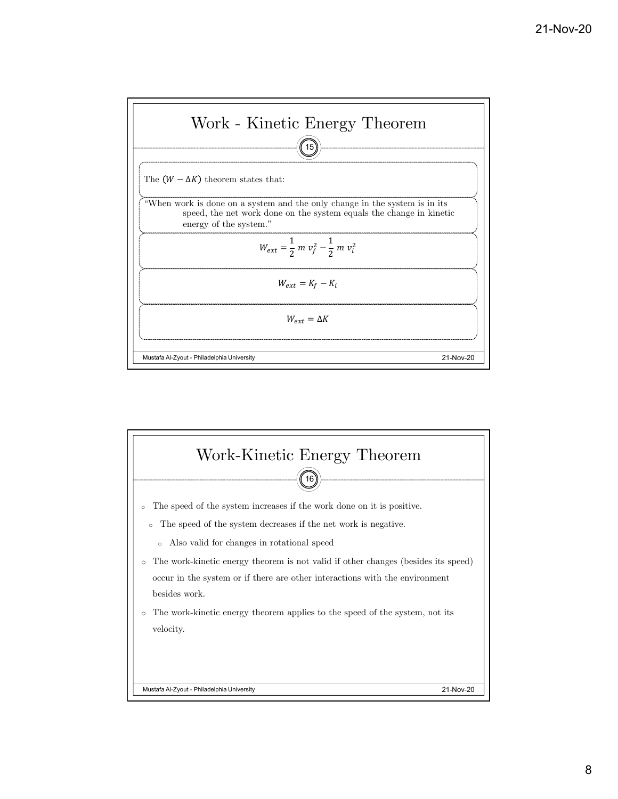

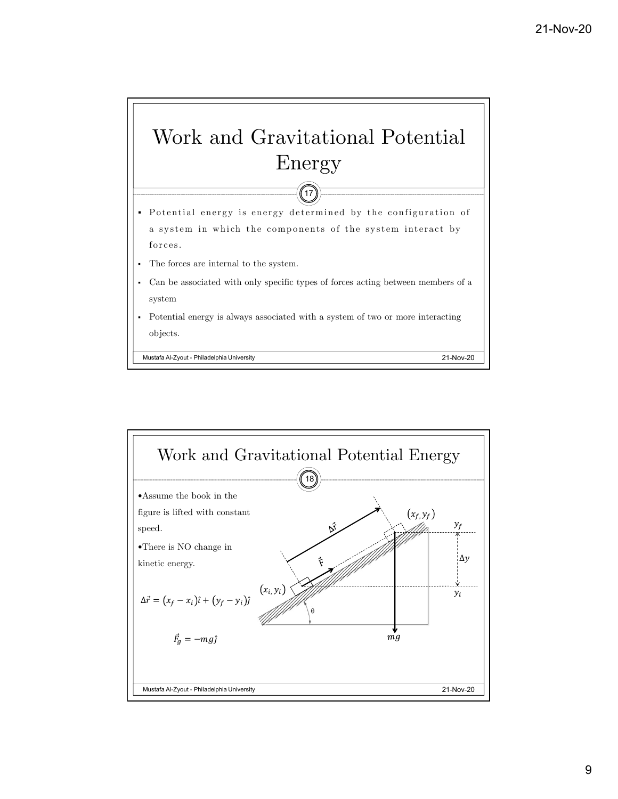

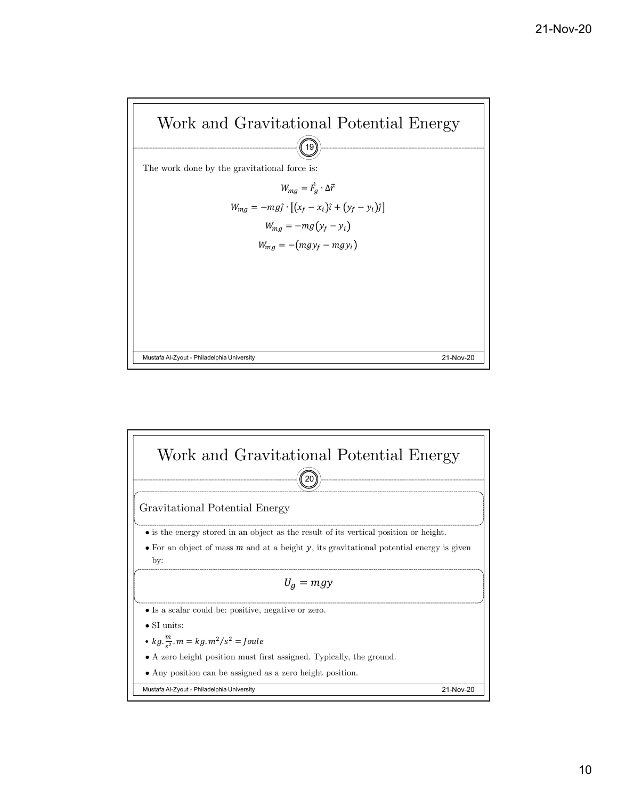

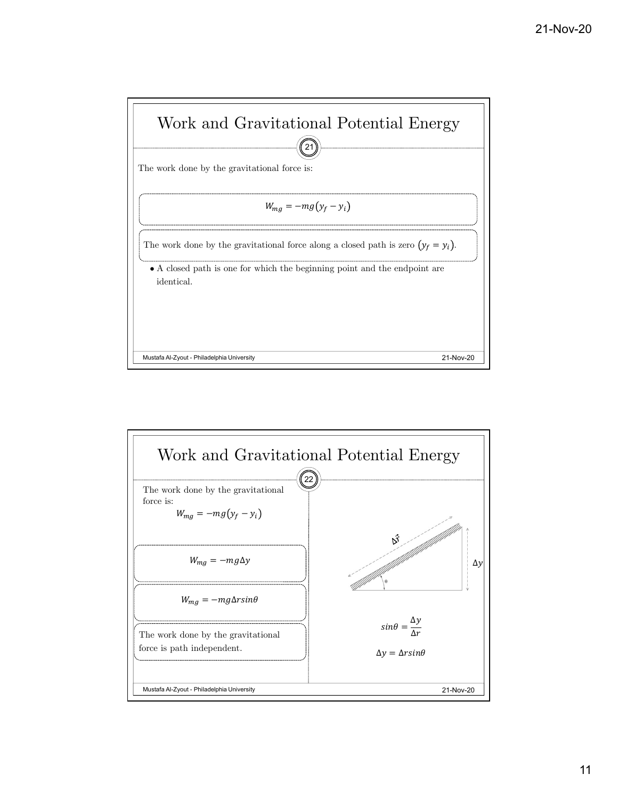

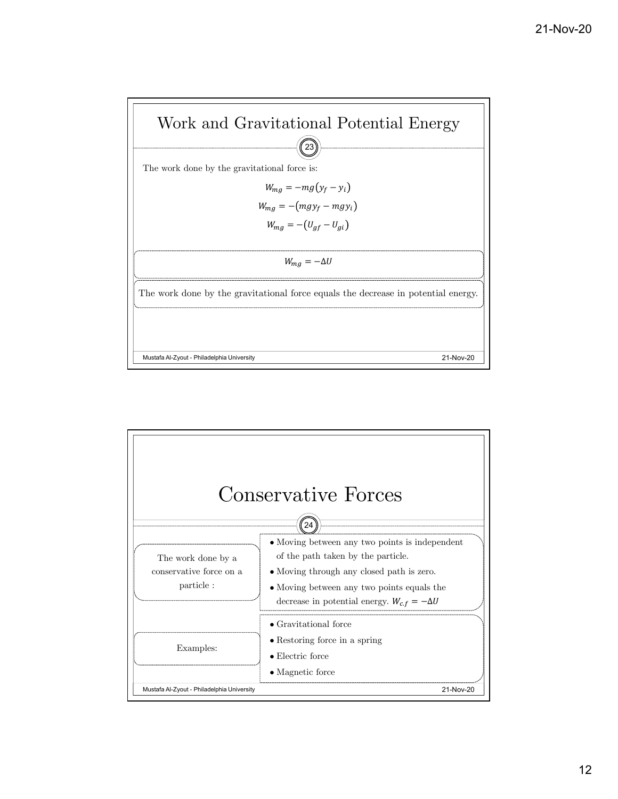

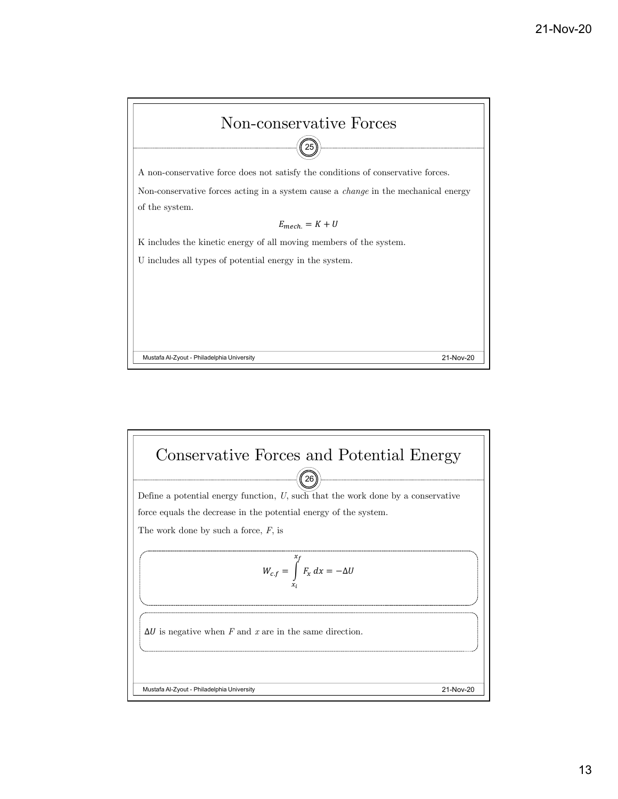

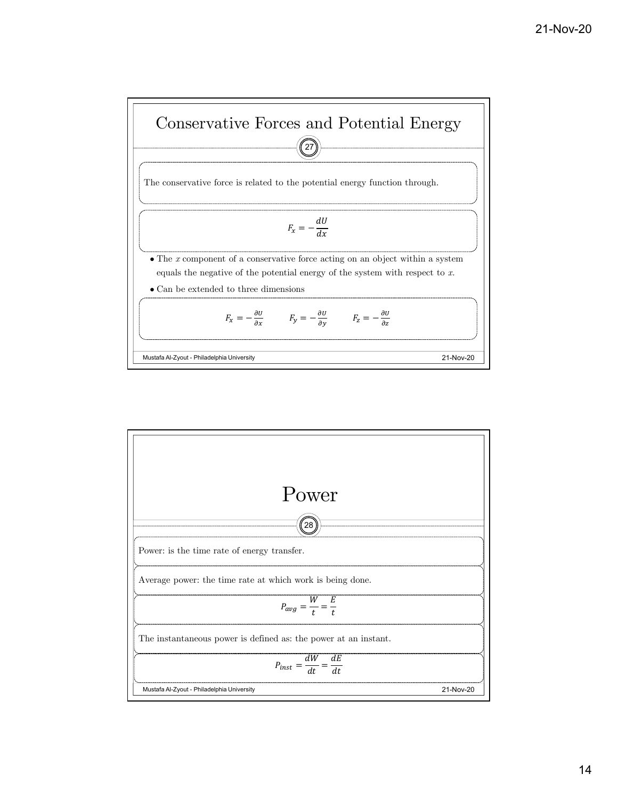